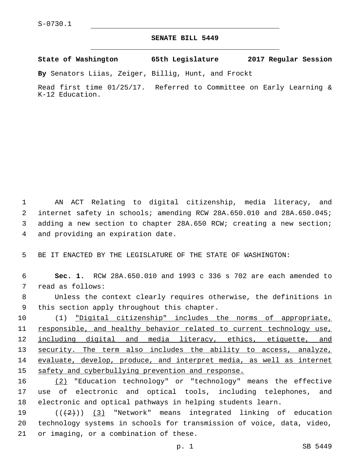## **SENATE BILL 5449**

**State of Washington 65th Legislature 2017 Regular Session**

**By** Senators Liias, Zeiger, Billig, Hunt, and Frockt

Read first time 01/25/17. Referred to Committee on Early Learning & K-12 Education.

 AN ACT Relating to digital citizenship, media literacy, and internet safety in schools; amending RCW 28A.650.010 and 28A.650.045; adding a new section to chapter 28A.650 RCW; creating a new section; 4 and providing an expiration date.

5 BE IT ENACTED BY THE LEGISLATURE OF THE STATE OF WASHINGTON:

6 **Sec. 1.** RCW 28A.650.010 and 1993 c 336 s 702 are each amended to 7 read as follows:

8 Unless the context clearly requires otherwise, the definitions in 9 this section apply throughout this chapter.

10 (1) "Digital citizenship" includes the norms of appropriate, 11 responsible, and healthy behavior related to current technology use, 12 including digital and media literacy, ethics, etiquette, and 13 security. The term also includes the ability to access, analyze, 14 evaluate, develop, produce, and interpret media, as well as internet 15 safety and cyberbullying prevention and response.

16 (2) "Education technology" or "technology" means the effective 17 use of electronic and optical tools, including telephones, and 18 electronic and optical pathways in helping students learn.

19 (((2)) (3) "Network" means integrated linking of education 20 technology systems in schools for transmission of voice, data, video, 21 or imaging, or a combination of these.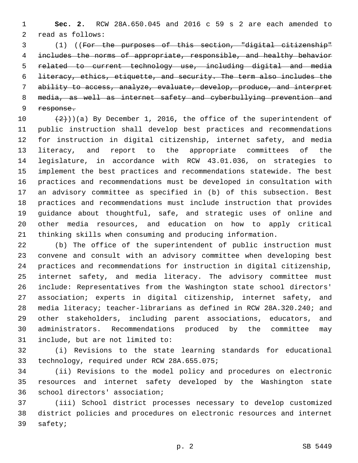**Sec. 2.** RCW 28A.650.045 and 2016 c 59 s 2 are each amended to 2 read as follows:

 (1) ((For the purposes of this section, "digital citizenship" includes the norms of appropriate, responsible, and healthy behavior related to current technology use, including digital and media literacy, ethics, etiquette, and security. The term also includes the ability to access, analyze, evaluate, develop, produce, and interpret media, as well as internet safety and cyberbullying prevention and response.

 $(2)$ ))(a) By December 1, 2016, the office of the superintendent of public instruction shall develop best practices and recommendations for instruction in digital citizenship, internet safety, and media literacy, and report to the appropriate committees of the legislature, in accordance with RCW 43.01.036, on strategies to implement the best practices and recommendations statewide. The best practices and recommendations must be developed in consultation with an advisory committee as specified in (b) of this subsection. Best practices and recommendations must include instruction that provides guidance about thoughtful, safe, and strategic uses of online and other media resources, and education on how to apply critical thinking skills when consuming and producing information.

 (b) The office of the superintendent of public instruction must convene and consult with an advisory committee when developing best practices and recommendations for instruction in digital citizenship, internet safety, and media literacy. The advisory committee must include: Representatives from the Washington state school directors' association; experts in digital citizenship, internet safety, and media literacy; teacher-librarians as defined in RCW 28A.320.240; and other stakeholders, including parent associations, educators, and administrators. Recommendations produced by the committee may 31 include, but are not limited to:

 (i) Revisions to the state learning standards for educational 33 technology, required under RCW 28A.655.075;

 (ii) Revisions to the model policy and procedures on electronic resources and internet safety developed by the Washington state 36 school directors' association;

 (iii) School district processes necessary to develop customized district policies and procedures on electronic resources and internet 39 safety;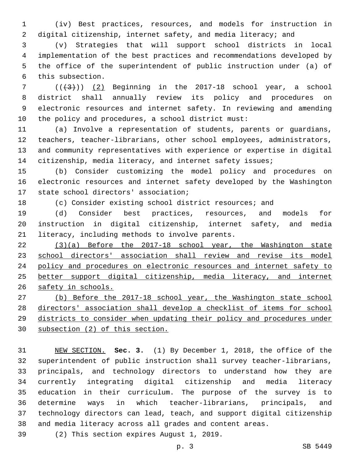(iv) Best practices, resources, and models for instruction in digital citizenship, internet safety, and media literacy; and

 (v) Strategies that will support school districts in local implementation of the best practices and recommendations developed by the office of the superintendent of public instruction under (a) of 6 this subsection.

  $((+3))$   $(2)$  Beginning in the 2017-18 school year, a school district shall annually review its policy and procedures on electronic resources and internet safety. In reviewing and amending the policy and procedures, a school district must:

 (a) Involve a representation of students, parents or guardians, teachers, teacher-librarians, other school employees, administrators, and community representatives with experience or expertise in digital citizenship, media literacy, and internet safety issues;

 (b) Consider customizing the model policy and procedures on electronic resources and internet safety developed by the Washington 17 state school directors' association;

(c) Consider existing school district resources; and

 (d) Consider best practices, resources, and models for instruction in digital citizenship, internet safety, and media 21 literacy, including methods to involve parents.

 (3)(a) Before the 2017-18 school year, the Washington state 23 school directors' association shall review and revise its model policy and procedures on electronic resources and internet safety to better support digital citizenship, media literacy, and internet safety in schools.

 (b) Before the 2017-18 school year, the Washington state school directors' association shall develop a checklist of items for school districts to consider when updating their policy and procedures under subsection (2) of this section.

 NEW SECTION. **Sec. 3.** (1) By December 1, 2018, the office of the superintendent of public instruction shall survey teacher-librarians, principals, and technology directors to understand how they are currently integrating digital citizenship and media literacy education in their curriculum. The purpose of the survey is to determine ways in which teacher-librarians, principals, and technology directors can lead, teach, and support digital citizenship and media literacy across all grades and content areas.

(2) This section expires August 1, 2019.